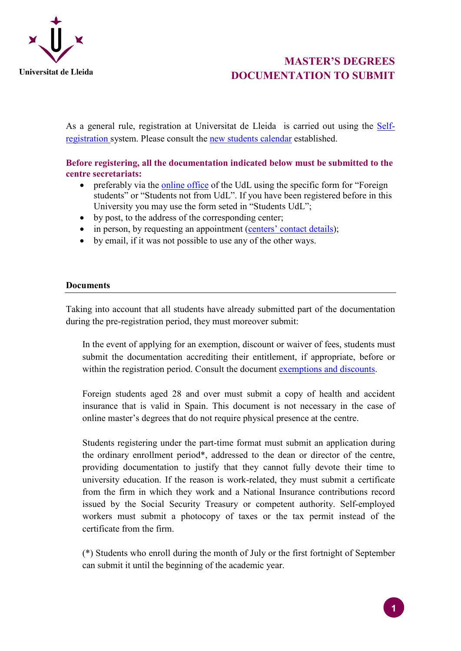

# **MASTER'S DEGREES DOCUMENTATION TO SUBMIT**

As a general rule, registration at Universitat de Lleida is carried out using the [Self](https://automat.udl.cat/automatricula/index.jsp?_ga=1.139602419.176586569.1429100817)[registration](https://automat.udl.cat/automatricula/index.jsp?_ga=1.139602419.176586569.1429100817) system. Please consult the [new students calendar](https://www.udl.cat/ca/serveis/aga/.galleries/docs/Documentacio_matricula_automatricula/calendaripreinscripciomasters_NEW_ACCES.pdf) established.

**Before registering, all the documentation indicated below must be submitted to the centre secretariats:**

- preferably via the [online office](https://seuelectronica.udl.cat/registreelectronic.php) of the UdL using the specific form for "Foreign" students" or "Students not from UdL". If you have been registered before in this University you may use the form seted in "Students UdL";
- by post, to the address of the corresponding center;
- in person, by requesting an appointment (centers' [contact details\)](https://www.udl.cat/ca/es/centros/);
- by email, if it was not possible to use any of the other ways.

#### **Documents**

Taking into account that all students have already submitted part of the documentation during the pre-registration period, they must moreover submit:

In the event of applying for an exemption, discount or waiver of fees, students must submit the documentation accrediting their entitlement, if appropriate, before or within the registration period. Consult the document [exemptions and discounts.](https://www.udl.cat/ca/serveis/aga/.galleries/docs/Documentacio_matricula_automatricula/exempcions_bonificacions_ANGLES_masters.pdf)

Foreign students aged 28 and over must submit a copy of health and accident insurance that is valid in Spain. This document is not necessary in the case of online master's degrees that do not require physical presence at the centre.

Students registering under the part-time format must submit an application during the ordinary enrollment period\*, addressed to the dean or director of the centre, providing documentation to justify that they cannot fully devote their time to university education. If the reason is work-related, they must submit a certificate from the firm in which they work and a National Insurance contributions record issued by the Social Security Treasury or competent authority. Self-employed workers must submit a photocopy of taxes or the tax permit instead of the certificate from the firm.

(\*) Students who enroll during the month of July or the first fortnight of September can submit it until the beginning of the academic year.

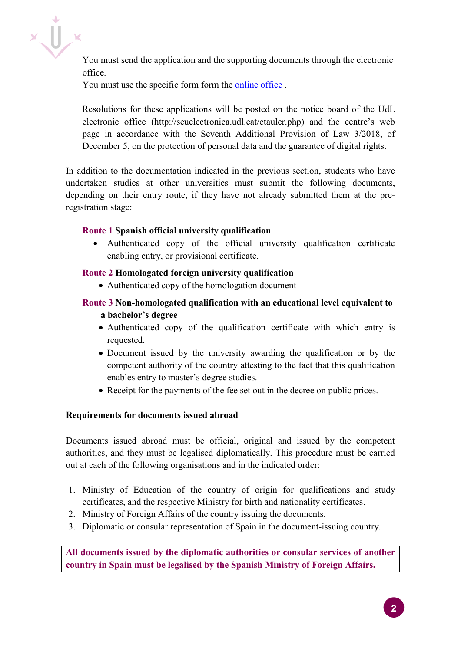

You must send the application and the supporting documents through the electronic office.

You must use the specific form form the [online office](https://seuelectronica.udl.cat/registreelectronic.php) .

Resolutions for these applications will be posted on the notice board of the UdL electronic office (http://seuelectronica.udl.cat/etauler.php) and the centre's web page in accordance with the Seventh Additional Provision of Law 3/2018, of December 5, on the protection of personal data and the guarantee of digital rights.

In addition to the documentation indicated in the previous section, students who have undertaken studies at other universities must submit the following documents, depending on their entry route, if they have not already submitted them at the preregistration stage:

#### **Route 1 Spanish official university qualification**

• Authenticated copy of the official university qualification certificate enabling entry, or provisional certificate.

### **Route 2 Homologated foreign university qualification**

• Authenticated copy of the homologation document

## **Route 3 Non-homologated qualification with an educational level equivalent to a bachelor's degree**

- Authenticated copy of the qualification certificate with which entry is requested.
- Document issued by the university awarding the qualification or by the competent authority of the country attesting to the fact that this qualification enables entry to master's degree studies.
- Receipt for the payments of the fee set out in the decree on public prices.

#### **Requirements for documents issued abroad**

Documents issued abroad must be official, original and issued by the competent authorities, and they must be legalised diplomatically. This procedure must be carried out at each of the following organisations and in the indicated order:

- 1. Ministry of Education of the country of origin for qualifications and study certificates, and the respective Ministry for birth and nationality certificates.
- 2. Ministry of Foreign Affairs of the country issuing the documents.
- 3. Diplomatic or consular representation of Spain in the document-issuing country.

**All documents issued by the diplomatic authorities or consular services of another country in Spain must be legalised by the Spanish Ministry of Foreign Affairs.**